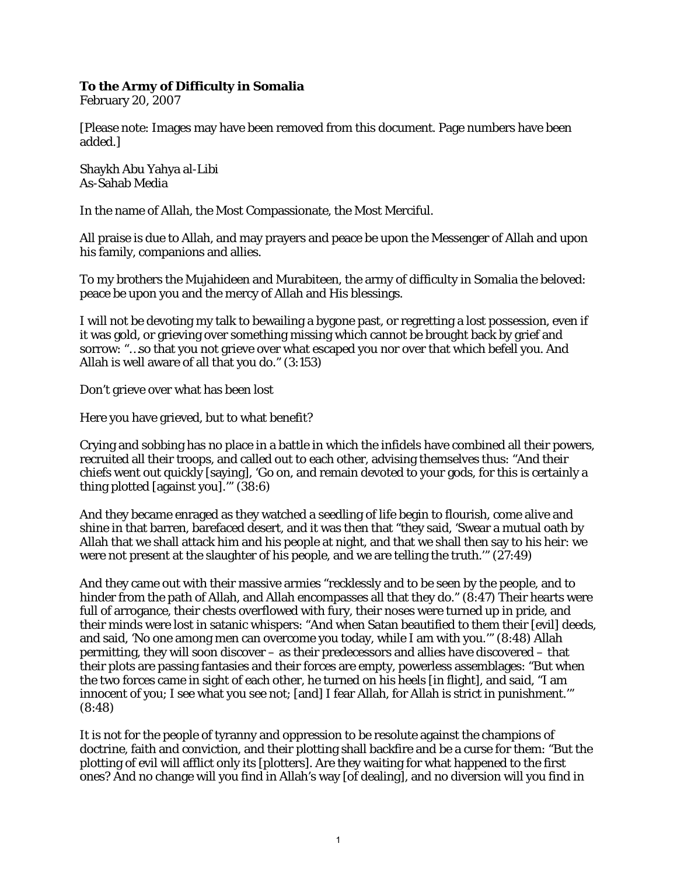## **To the Army of Difficulty in Somalia**

February 20, 2007

[Please note: Images may have been removed from this document. Page numbers have been added.]

Shaykh Abu Yahya al-Libi As-Sahab Media

In the name of Allah, the Most Compassionate, the Most Merciful.

All praise is due to Allah, and may prayers and peace be upon the Messenger of Allah and upon his family, companions and allies.

To my brothers the Mujahideen and Murabiteen, the army of difficulty in Somalia the beloved: peace be upon you and the mercy of Allah and His blessings.

I will not be devoting my talk to bewailing a bygone past, or regretting a lost possession, even if it was gold, or grieving over something missing which cannot be brought back by grief and sorrow: "…so that you not grieve over what escaped you nor over that which befell you. And Allah is well aware of all that you do." (3:153)

Don't grieve over what has been lost

Here you have grieved, but to what benefit?

Crying and sobbing has no place in a battle in which the infidels have combined all their powers, recruited all their troops, and called out to each other, advising themselves thus: "And their chiefs went out quickly [saying], 'Go on, and remain devoted to your gods, for this is certainly a thing plotted [against you].'" (38:6)

And they became enraged as they watched a seedling of life begin to flourish, come alive and shine in that barren, barefaced desert, and it was then that "they said, 'Swear a mutual oath by Allah that we shall attack him and his people at night, and that we shall then say to his heir: we were not present at the slaughter of his people, and we are telling the truth.'" (27:49)

And they came out with their massive armies "recklessly and to be seen by the people, and to hinder from the path of Allah, and Allah encompasses all that they do." (8:47) Their hearts were full of arrogance, their chests overflowed with fury, their noses were turned up in pride, and their minds were lost in satanic whispers: "And when Satan beautified to them their [evil] deeds, and said, 'No one among men can overcome you today, while I am with you.'" (8:48) Allah permitting, they will soon discover – as their predecessors and allies have discovered – that their plots are passing fantasies and their forces are empty, powerless assemblages: "But when the two forces came in sight of each other, he turned on his heels [in flight], and said, "I am innocent of you; I see what you see not; [and] I fear Allah, for Allah is strict in punishment.'" (8:48)

It is not for the people of tyranny and oppression to be resolute against the champions of doctrine, faith and conviction, and their plotting shall backfire and be a curse for them: "But the plotting of evil will afflict only its [plotters]. Are they waiting for what happened to the first ones? And no change will you find in Allah's way [of dealing], and no diversion will you find in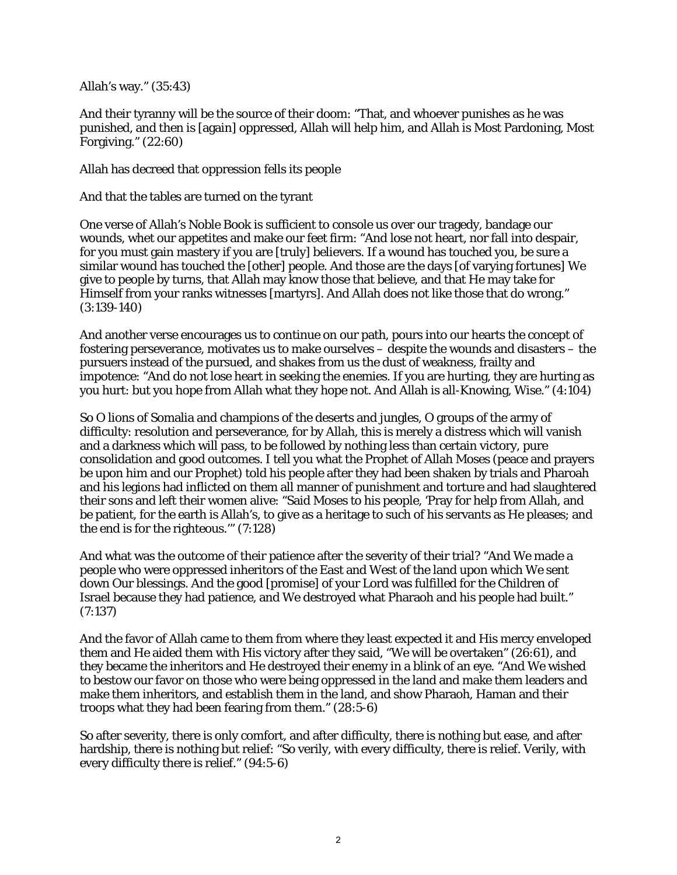Allah's way." (35:43)

And their tyranny will be the source of their doom: "That, and whoever punishes as he was punished, and then is [again] oppressed, Allah will help him, and Allah is Most Pardoning, Most Forgiving." (22:60)

Allah has decreed that oppression fells its people

And that the tables are turned on the tyrant

One verse of Allah's Noble Book is sufficient to console us over our tragedy, bandage our wounds, whet our appetites and make our feet firm: "And lose not heart, nor fall into despair, for you must gain mastery if you are [truly] believers. If a wound has touched you, be sure a similar wound has touched the [other] people. And those are the days [of varying fortunes] We give to people by turns, that Allah may know those that believe, and that He may take for Himself from your ranks witnesses [martyrs]. And Allah does not like those that do wrong." (3:139-140)

And another verse encourages us to continue on our path, pours into our hearts the concept of fostering perseverance, motivates us to make ourselves – despite the wounds and disasters – the pursuers instead of the pursued, and shakes from us the dust of weakness, frailty and impotence: "And do not lose heart in seeking the enemies. If you are hurting, they are hurting as you hurt: but you hope from Allah what they hope not. And Allah is all-Knowing, Wise." (4:104)

So O lions of Somalia and champions of the deserts and jungles, O groups of the army of difficulty: resolution and perseverance, for by Allah, this is merely a distress which will vanish and a darkness which will pass, to be followed by nothing less than certain victory, pure consolidation and good outcomes. I tell you what the Prophet of Allah Moses (peace and prayers be upon him and our Prophet) told his people after they had been shaken by trials and Pharoah and his legions had inflicted on them all manner of punishment and torture and had slaughtered their sons and left their women alive: "Said Moses to his people, 'Pray for help from Allah, and be patient, for the earth is Allah's, to give as a heritage to such of his servants as He pleases; and the end is for the righteous.'" (7:128)

And what was the outcome of their patience after the severity of their trial? "And We made a people who were oppressed inheritors of the East and West of the land upon which We sent down Our blessings. And the good [promise] of your Lord was fulfilled for the Children of Israel because they had patience, and We destroyed what Pharaoh and his people had built." (7:137)

And the favor of Allah came to them from where they least expected it and His mercy enveloped them and He aided them with His victory after they said, "We will be overtaken" (26:61), and they became the inheritors and He destroyed their enemy in a blink of an eye. "And We wished to bestow our favor on those who were being oppressed in the land and make them leaders and make them inheritors, and establish them in the land, and show Pharaoh, Haman and their troops what they had been fearing from them." (28:5-6)

So after severity, there is only comfort, and after difficulty, there is nothing but ease, and after hardship, there is nothing but relief: "So verily, with every difficulty, there is relief. Verily, with every difficulty there is relief." (94:5-6)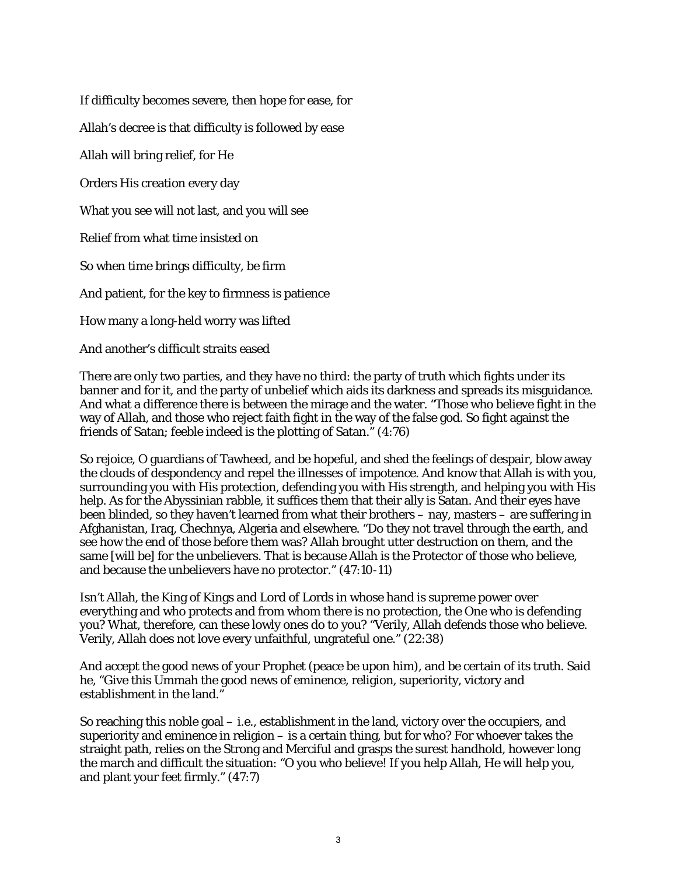If difficulty becomes severe, then hope for ease, for Allah's decree is that difficulty is followed by ease Allah will bring relief, for He Orders His creation every day What you see will not last, and you will see Relief from what time insisted on So when time brings difficulty, be firm And patient, for the key to firmness is patience How many a long-held worry was lifted And another's difficult straits eased

There are only two parties, and they have no third: the party of truth which fights under its banner and for it, and the party of unbelief which aids its darkness and spreads its misguidance. And what a difference there is between the mirage and the water. "Those who believe fight in the way of Allah, and those who reject faith fight in the way of the false god. So fight against the friends of Satan; feeble indeed is the plotting of Satan." (4:76)

So rejoice, O guardians of Tawheed, and be hopeful, and shed the feelings of despair, blow away the clouds of despondency and repel the illnesses of impotence. And know that Allah is with you, surrounding you with His protection, defending you with His strength, and helping you with His help. As for the Abyssinian rabble, it suffices them that their ally is Satan. And their eyes have been blinded, so they haven't learned from what their brothers – nay, masters – are suffering in Afghanistan, Iraq, Chechnya, Algeria and elsewhere. "Do they not travel through the earth, and see how the end of those before them was? Allah brought utter destruction on them, and the same [will be] for the unbelievers. That is because Allah is the Protector of those who believe, and because the unbelievers have no protector." (47:10-11)

Isn't Allah, the King of Kings and Lord of Lords in whose hand is supreme power over everything and who protects and from whom there is no protection, the One who is defending you? What, therefore, can these lowly ones do to you? "Verily, Allah defends those who believe. Verily, Allah does not love every unfaithful, ungrateful one." (22:38)

And accept the good news of your Prophet (peace be upon him), and be certain of its truth. Said he, "Give this Ummah the good news of eminence, religion, superiority, victory and establishment in the land."

So reaching this noble goal – i.e., establishment in the land, victory over the occupiers, and superiority and eminence in religion  $-$  is a certain thing, but for who? For whoever takes the straight path, relies on the Strong and Merciful and grasps the surest handhold, however long the march and difficult the situation: "O you who believe! If you help Allah, He will help you, and plant your feet firmly." (47:7)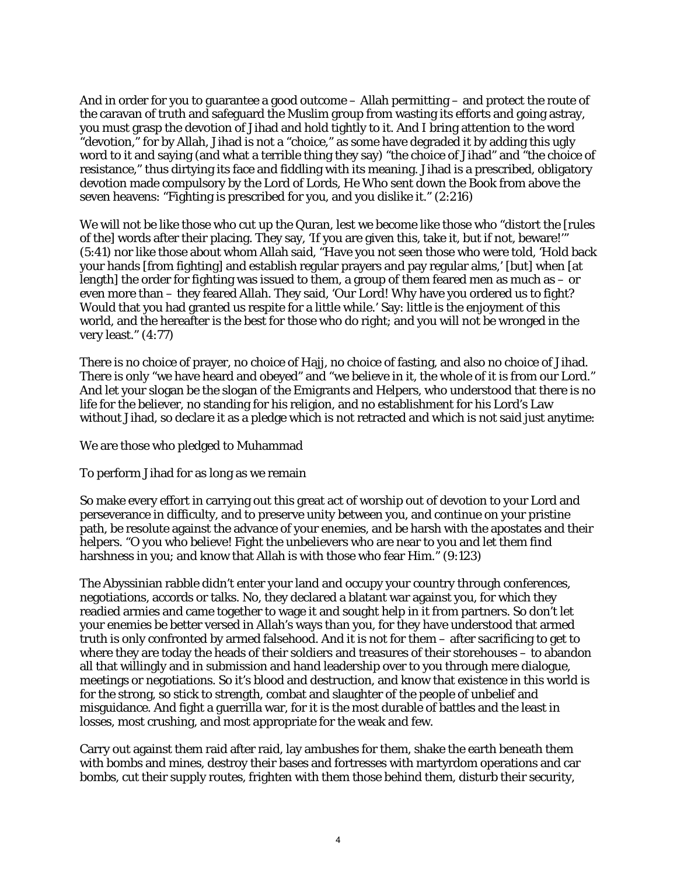And in order for you to guarantee a good outcome – Allah permitting – and protect the route of the caravan of truth and safeguard the Muslim group from wasting its efforts and going astray, you must grasp the devotion of Jihad and hold tightly to it. And I bring attention to the word "devotion," for by Allah, Jihad is not a "choice," as some have degraded it by adding this ugly word to it and saying (and what a terrible thing they say) "the choice of Jihad" and "the choice of resistance," thus dirtying its face and fiddling with its meaning. Jihad is a prescribed, obligatory devotion made compulsory by the Lord of Lords, He Who sent down the Book from above the seven heavens: "Fighting is prescribed for you, and you dislike it." (2:216)

We will not be like those who cut up the Quran, lest we become like those who "distort the [rules of the] words after their placing. They say, 'If you are given this, take it, but if not, beware!'" (5:41) nor like those about whom Allah said, "Have you not seen those who were told, 'Hold back your hands [from fighting] and establish regular prayers and pay regular alms,' [but] when [at length] the order for fighting was issued to them, a group of them feared men as much as – or even more than – they feared Allah. They said, 'Our Lord! Why have you ordered us to fight? Would that you had granted us respite for a little while.' Say: little is the enjoyment of this world, and the hereafter is the best for those who do right; and you will not be wronged in the very least." (4:77)

There is no choice of prayer, no choice of Hajj, no choice of fasting, and also no choice of Jihad. There is only "we have heard and obeyed" and "we believe in it, the whole of it is from our Lord." And let your slogan be the slogan of the Emigrants and Helpers, who understood that there is no life for the believer, no standing for his religion, and no establishment for his Lord's Law without Jihad, so declare it as a pledge which is not retracted and which is not said just anytime:

We are those who pledged to Muhammad

To perform Jihad for as long as we remain

So make every effort in carrying out this great act of worship out of devotion to your Lord and perseverance in difficulty, and to preserve unity between you, and continue on your pristine path, be resolute against the advance of your enemies, and be harsh with the apostates and their helpers. "O you who believe! Fight the unbelievers who are near to you and let them find harshness in you; and know that Allah is with those who fear Him." (9:123)

The Abyssinian rabble didn't enter your land and occupy your country through conferences, negotiations, accords or talks. No, they declared a blatant war against you, for which they readied armies and came together to wage it and sought help in it from partners. So don't let your enemies be better versed in Allah's ways than you, for they have understood that armed truth is only confronted by armed falsehood. And it is not for them – after sacrificing to get to where they are today the heads of their soldiers and treasures of their storehouses – to abandon all that willingly and in submission and hand leadership over to you through mere dialogue, meetings or negotiations. So it's blood and destruction, and know that existence in this world is for the strong, so stick to strength, combat and slaughter of the people of unbelief and misguidance. And fight a guerrilla war, for it is the most durable of battles and the least in losses, most crushing, and most appropriate for the weak and few.

Carry out against them raid after raid, lay ambushes for them, shake the earth beneath them with bombs and mines, destroy their bases and fortresses with martyrdom operations and car bombs, cut their supply routes, frighten with them those behind them, disturb their security,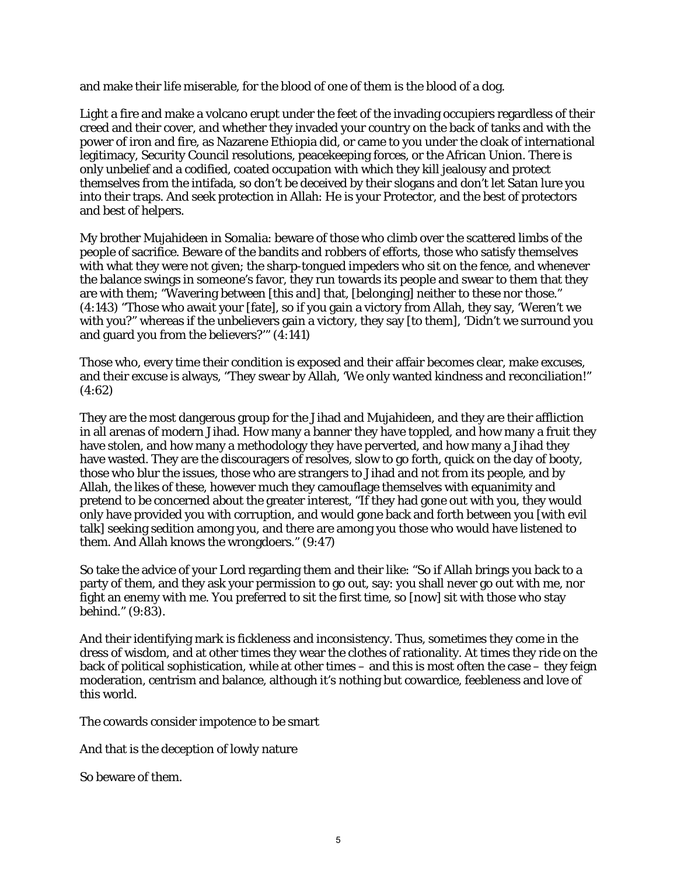and make their life miserable, for the blood of one of them is the blood of a dog.

Light a fire and make a volcano erupt under the feet of the invading occupiers regardless of their creed and their cover, and whether they invaded your country on the back of tanks and with the power of iron and fire, as Nazarene Ethiopia did, or came to you under the cloak of international legitimacy, Security Council resolutions, peacekeeping forces, or the African Union. There is only unbelief and a codified, coated occupation with which they kill jealousy and protect themselves from the intifada, so don't be deceived by their slogans and don't let Satan lure you into their traps. And seek protection in Allah: He is your Protector, and the best of protectors and best of helpers.

My brother Mujahideen in Somalia: beware of those who climb over the scattered limbs of the people of sacrifice. Beware of the bandits and robbers of efforts, those who satisfy themselves with what they were not given; the sharp-tongued impeders who sit on the fence, and whenever the balance swings in someone's favor, they run towards its people and swear to them that they are with them; "Wavering between [this and] that, [belonging] neither to these nor those." (4:143) "Those who await your [fate], so if you gain a victory from Allah, they say, 'Weren't we with you?" whereas if the unbelievers gain a victory, they say [to them], 'Didn't we surround you and guard you from the believers?'" (4:141)

Those who, every time their condition is exposed and their affair becomes clear, make excuses, and their excuse is always, "They swear by Allah, 'We only wanted kindness and reconciliation!" (4:62)

They are the most dangerous group for the Jihad and Mujahideen, and they are their affliction in all arenas of modern Jihad. How many a banner they have toppled, and how many a fruit they have stolen, and how many a methodology they have perverted, and how many a Jihad they have wasted. They are the discouragers of resolves, slow to go forth, quick on the day of booty, those who blur the issues, those who are strangers to Jihad and not from its people, and by Allah, the likes of these, however much they camouflage themselves with equanimity and pretend to be concerned about the greater interest, "If they had gone out with you, they would only have provided you with corruption, and would gone back and forth between you [with evil talk] seeking sedition among you, and there are among you those who would have listened to them. And Allah knows the wrongdoers." (9:47)

So take the advice of your Lord regarding them and their like: "So if Allah brings you back to a party of them, and they ask your permission to go out, say: you shall never go out with me, nor fight an enemy with me. You preferred to sit the first time, so [now] sit with those who stay behind." (9:83).

And their identifying mark is fickleness and inconsistency. Thus, sometimes they come in the dress of wisdom, and at other times they wear the clothes of rationality. At times they ride on the back of political sophistication, while at other times – and this is most often the case – they feign moderation, centrism and balance, although it's nothing but cowardice, feebleness and love of this world.

The cowards consider impotence to be smart

And that is the deception of lowly nature

So beware of them.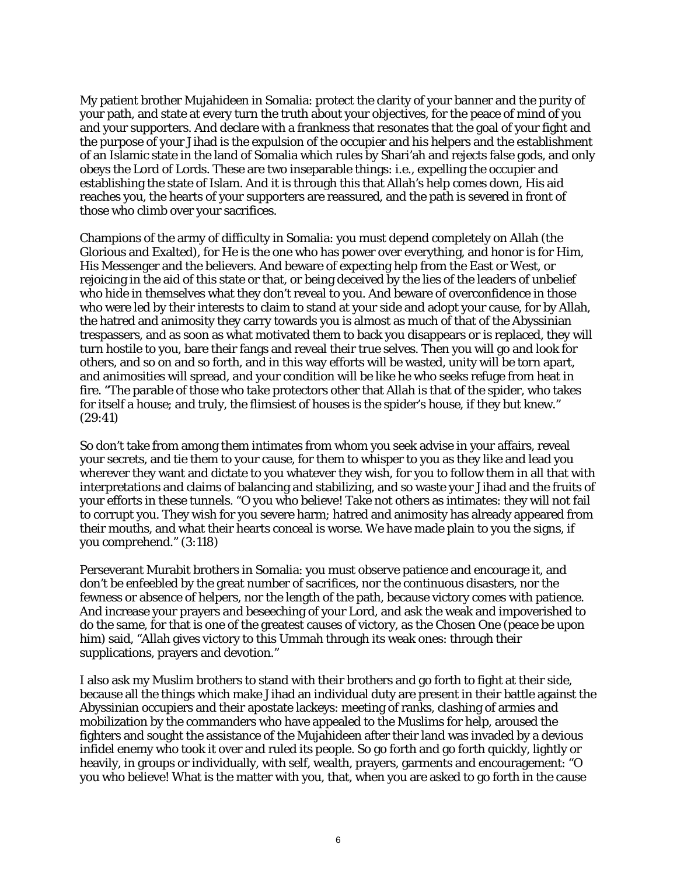My patient brother Mujahideen in Somalia: protect the clarity of your banner and the purity of your path, and state at every turn the truth about your objectives, for the peace of mind of you and your supporters. And declare with a frankness that resonates that the goal of your fight and the purpose of your Jihad is the expulsion of the occupier and his helpers and the establishment of an Islamic state in the land of Somalia which rules by Shari'ah and rejects false gods, and only obeys the Lord of Lords. These are two inseparable things: i.e., expelling the occupier and establishing the state of Islam. And it is through this that Allah's help comes down, His aid reaches you, the hearts of your supporters are reassured, and the path is severed in front of those who climb over your sacrifices.

Champions of the army of difficulty in Somalia: you must depend completely on Allah (the Glorious and Exalted), for He is the one who has power over everything, and honor is for Him, His Messenger and the believers. And beware of expecting help from the East or West, or rejoicing in the aid of this state or that, or being deceived by the lies of the leaders of unbelief who hide in themselves what they don't reveal to you. And beware of overconfidence in those who were led by their interests to claim to stand at your side and adopt your cause, for by Allah, the hatred and animosity they carry towards you is almost as much of that of the Abyssinian trespassers, and as soon as what motivated them to back you disappears or is replaced, they will turn hostile to you, bare their fangs and reveal their true selves. Then you will go and look for others, and so on and so forth, and in this way efforts will be wasted, unity will be torn apart, and animosities will spread, and your condition will be like he who seeks refuge from heat in fire. "The parable of those who take protectors other that Allah is that of the spider, who takes for itself a house; and truly, the flimsiest of houses is the spider's house, if they but knew." (29:41)

So don't take from among them intimates from whom you seek advise in your affairs, reveal your secrets, and tie them to your cause, for them to whisper to you as they like and lead you wherever they want and dictate to you whatever they wish, for you to follow them in all that with interpretations and claims of balancing and stabilizing, and so waste your Jihad and the fruits of your efforts in these tunnels. "O you who believe! Take not others as intimates: they will not fail to corrupt you. They wish for you severe harm; hatred and animosity has already appeared from their mouths, and what their hearts conceal is worse. We have made plain to you the signs, if you comprehend." (3:118)

Perseverant Murabit brothers in Somalia: you must observe patience and encourage it, and don't be enfeebled by the great number of sacrifices, nor the continuous disasters, nor the fewness or absence of helpers, nor the length of the path, because victory comes with patience. And increase your prayers and beseeching of your Lord, and ask the weak and impoverished to do the same, for that is one of the greatest causes of victory, as the Chosen One (peace be upon him) said, "Allah gives victory to this Ummah through its weak ones: through their supplications, prayers and devotion."

I also ask my Muslim brothers to stand with their brothers and go forth to fight at their side, because all the things which make Jihad an individual duty are present in their battle against the Abyssinian occupiers and their apostate lackeys: meeting of ranks, clashing of armies and mobilization by the commanders who have appealed to the Muslims for help, aroused the fighters and sought the assistance of the Mujahideen after their land was invaded by a devious infidel enemy who took it over and ruled its people. So go forth and go forth quickly, lightly or heavily, in groups or individually, with self, wealth, prayers, garments and encouragement: "O you who believe! What is the matter with you, that, when you are asked to go forth in the cause